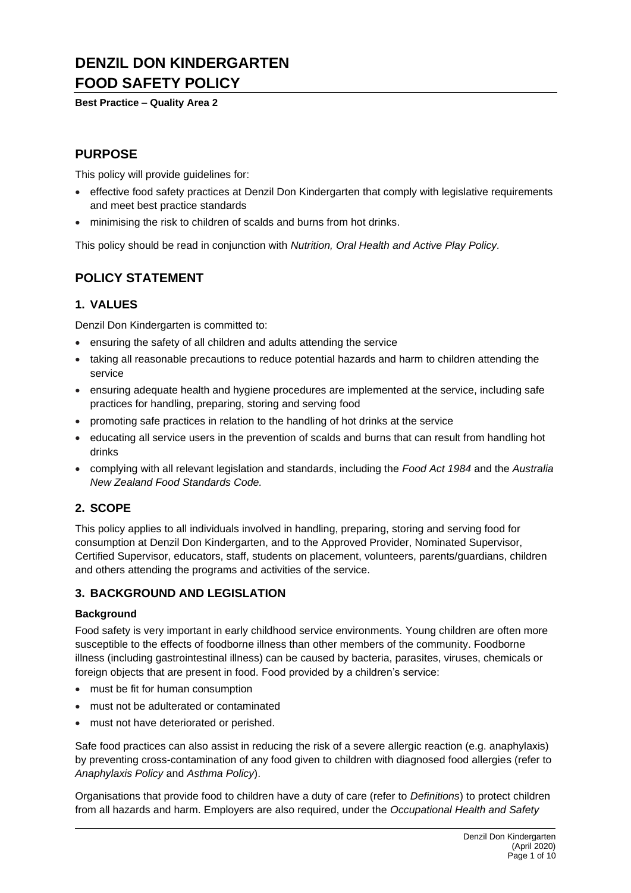# **DENZIL DON KINDERGARTEN FOOD SAFETY POLICY**

**Best Practice – Quality Area 2**

# **PURPOSE**

This policy will provide guidelines for:

- effective food safety practices at Denzil Don Kindergarten that comply with legislative requirements and meet best practice standards
- minimising the risk to children of scalds and burns from hot drinks.

This policy should be read in conjunction with *Nutrition, Oral Health and Active Play Policy.*

# **POLICY STATEMENT**

## **1. VALUES**

Denzil Don Kindergarten is committed to:

- ensuring the safety of all children and adults attending the service
- taking all reasonable precautions to reduce potential hazards and harm to children attending the service
- ensuring adequate health and hygiene procedures are implemented at the service, including safe practices for handling, preparing, storing and serving food
- promoting safe practices in relation to the handling of hot drinks at the service
- educating all service users in the prevention of scalds and burns that can result from handling hot drinks
- complying with all relevant legislation and standards, including the *Food Act 1984* and the *Australia New Zealand Food Standards Code.*

# **2. SCOPE**

This policy applies to all individuals involved in handling, preparing, storing and serving food for consumption at Denzil Don Kindergarten, and to the Approved Provider, Nominated Supervisor, Certified Supervisor, educators, staff, students on placement, volunteers, parents/guardians, children and others attending the programs and activities of the service.

## **3. BACKGROUND AND LEGISLATION**

## **Background**

Food safety is very important in early childhood service environments. Young children are often more susceptible to the effects of foodborne illness than other members of the community. Foodborne illness (including gastrointestinal illness) can be caused by bacteria, parasites, viruses, chemicals or foreign objects that are present in food. Food provided by a children's service:

- must be fit for human consumption
- must not be adulterated or contaminated
- must not have deteriorated or perished.

Safe food practices can also assist in reducing the risk of a severe allergic reaction (e.g. anaphylaxis) by preventing cross-contamination of any food given to children with diagnosed food allergies (refer to *Anaphylaxis Policy* and *Asthma Policy*).

Organisations that provide food to children have a duty of care (refer to *Definitions*) to protect children from all hazards and harm. Employers are also required, under the *Occupational Health and Safety*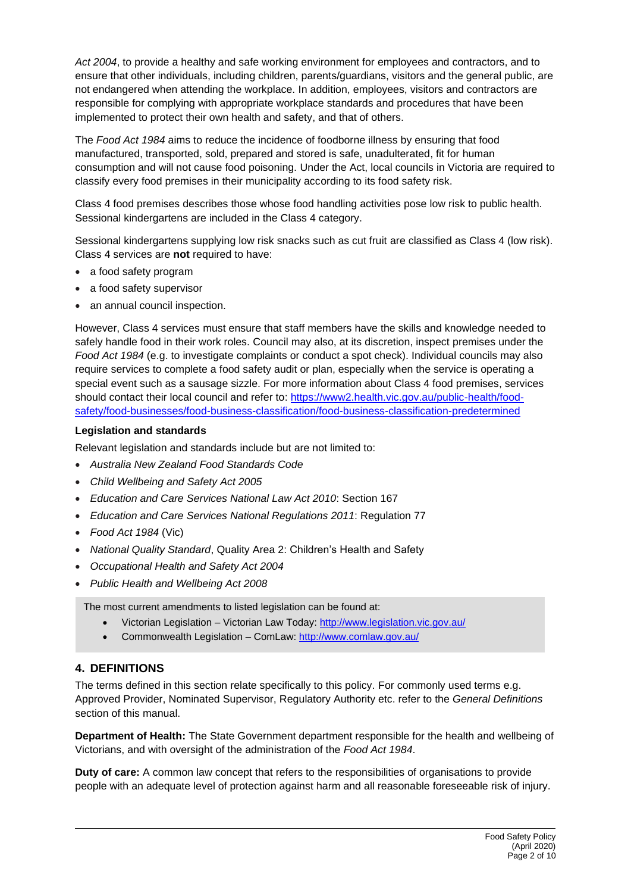*Act 2004*, to provide a healthy and safe working environment for employees and contractors, and to ensure that other individuals, including children, parents/guardians, visitors and the general public, are not endangered when attending the workplace. In addition, employees, visitors and contractors are responsible for complying with appropriate workplace standards and procedures that have been implemented to protect their own health and safety, and that of others.

The *Food Act 1984* aims to reduce the incidence of foodborne illness by ensuring that food manufactured, transported, sold, prepared and stored is safe, unadulterated, fit for human consumption and will not cause food poisoning. Under the Act, local councils in Victoria are required to classify every food premises in their municipality according to its food safety risk.

Class 4 food premises describes those whose food handling activities pose low risk to public health. Sessional kindergartens are included in the Class 4 category.

Sessional kindergartens supplying low risk snacks such as cut fruit are classified as Class 4 (low risk). Class 4 services are **not** required to have:

- a food safety program
- a food safety supervisor
- an annual council inspection.

However, Class 4 services must ensure that staff members have the skills and knowledge needed to safely handle food in their work roles. Council may also, at its discretion, inspect premises under the *Food Act 1984* (e.g. to investigate complaints or conduct a spot check). Individual councils may also require services to complete a food safety audit or plan, especially when the service is operating a special event such as a sausage sizzle. For more information about Class 4 food premises, services should contact their local council and refer to: [https://www2.health.vic.gov.au/public-health/food](https://www2.health.vic.gov.au/public-health/food-safety/food-businesses/food-business-classification/food-business-classification-predetermined)[safety/food-businesses/food-business-classification/food-business-classification-predetermined](https://www2.health.vic.gov.au/public-health/food-safety/food-businesses/food-business-classification/food-business-classification-predetermined)

### **Legislation and standards**

Relevant legislation and standards include but are not limited to:

- *Australia New Zealand Food Standards Code*
- *Child Wellbeing and Safety Act 2005*
- *Education and Care Services National Law Act 2010*: Section 167
- *Education and Care Services National Regulations 2011*: Regulation 77
- *Food Act 1984* (Vic)
- *National Quality Standard*, Quality Area 2: Children's Health and Safety
- *Occupational Health and Safety Act 2004*
- *Public Health and Wellbeing Act 2008*

The most current amendments to listed legislation can be found at:

- Victorian Legislation Victorian Law Today:<http://www.legislation.vic.gov.au/>
- Commonwealth Legislation ComLaw:<http://www.comlaw.gov.au/>

## **4. DEFINITIONS**

The terms defined in this section relate specifically to this policy. For commonly used terms e.g. Approved Provider, Nominated Supervisor, Regulatory Authority etc. refer to the *General Definitions* section of this manual.

**Department of Health:** The State Government department responsible for the health and wellbeing of Victorians, and with oversight of the administration of the *Food Act 1984*.

**Duty of care:** A common law concept that refers to the responsibilities of organisations to provide people with an adequate level of protection against harm and all reasonable foreseeable risk of injury.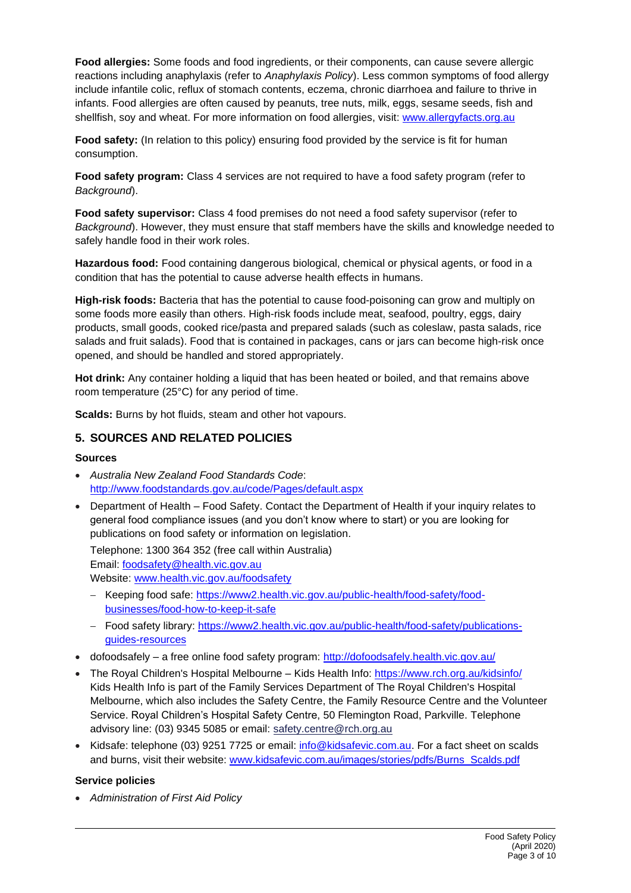**Food allergies:** Some foods and food ingredients, or their components, can cause severe allergic reactions including anaphylaxis (refer to *Anaphylaxis Policy*). Less common symptoms of food allergy include infantile colic, reflux of stomach contents, eczema, chronic diarrhoea and failure to thrive in infants. Food allergies are often caused by peanuts, tree nuts, milk, eggs, sesame seeds, fish and shellfish, soy and wheat. For more information on food allergies, visit: [www.allergyfacts.org.au](http://www.allergyfacts.org.au/)

**Food safety:** (In relation to this policy) ensuring food provided by the service is fit for human consumption.

**Food safety program:** Class 4 services are not required to have a food safety program (refer to *Background*).

**Food safety supervisor:** Class 4 food premises do not need a food safety supervisor (refer to *Background*). However, they must ensure that staff members have the skills and knowledge needed to safely handle food in their work roles.

**Hazardous food:** Food containing dangerous biological, chemical or physical agents, or food in a condition that has the potential to cause adverse health effects in humans.

**High-risk foods:** Bacteria that has the potential to cause food-poisoning can grow and multiply on some foods more easily than others. High-risk foods include meat, seafood, poultry, eggs, dairy products, small goods, cooked rice/pasta and prepared salads (such as coleslaw, pasta salads, rice salads and fruit salads). Food that is contained in packages, cans or jars can become high-risk once opened, and should be handled and stored appropriately.

**Hot drink:** Any container holding a liquid that has been heated or boiled, and that remains above room temperature (25°C) for any period of time.

**Scalds:** Burns by hot fluids, steam and other hot vapours.

## **5. SOURCES AND RELATED POLICIES**

#### **Sources**

- *Australia New Zealand Food Standards Code*: <http://www.foodstandards.gov.au/code/Pages/default.aspx>
- Department of Health Food Safety. Contact the Department of Health if your inquiry relates to general food compliance issues (and you don't know where to start) or you are looking for publications on food safety or information on legislation.

Telephone: 1300 364 352 (free call within Australia) Email: [foodsafety@health.vic.gov.au](mailto:foodsafety@health.vic.gov.au) 

Website: [www.health.vic.gov.au/foodsafety](http://www.health.vic.gov.au/foodsafety)

- − Keeping food safe: [https://www2.health.vic.gov.au/public-health/food-safety/food](https://www2.health.vic.gov.au/public-health/food-safety/food-businesses/food-how-to-keep-it-safe)[businesses/food-how-to-keep-it-safe](https://www2.health.vic.gov.au/public-health/food-safety/food-businesses/food-how-to-keep-it-safe)
- − Food safety library: [https://www2.health.vic.gov.au/public-health/food-safety/publications](https://www2.health.vic.gov.au/public-health/food-safety/publications-guides-resources)[guides-resources](https://www2.health.vic.gov.au/public-health/food-safety/publications-guides-resources)
- dofoodsafely a free online food safety program:<http://dofoodsafely.health.vic.gov.au/>
- The Royal Children's Hospital Melbourne Kids Health Info:<https://www.rch.org.au/kidsinfo/> Kids Health Info is part of the Family Services Department of The Royal Children's Hospital Melbourne, which also includes the [Safety Centre,](http://www.rch.org.au/safetycentre/) the [Family Resource](http://www.rch.org.au/frc/) Centre and the [Volunteer](http://www.rch.org.au/volunteers/)  [Service.](http://www.rch.org.au/volunteers/) Royal Children's Hospital Safety Centre, 50 Flemington Road, Parkville. Telephone advisory line: (03) 9345 5085 or email: [safety.centre@rch.org.au](mailto:safety.centre@rch.org.au)
- Kidsafe: telephone (03) 9251 7725 or email: [info@kidsafevic.com.au.](mailto:info@kidsafevic.com.au) For a fact sheet on scalds and burns, visit their website: [www.kidsafevic.com.au/images/stories/pdfs/Burns\\_Scalds.pdf](http://www.kidsafevic.com.au/images/stories/pdfs/Burns_Scalds.pdf)

## **Service policies**

• *Administration of First Aid Policy*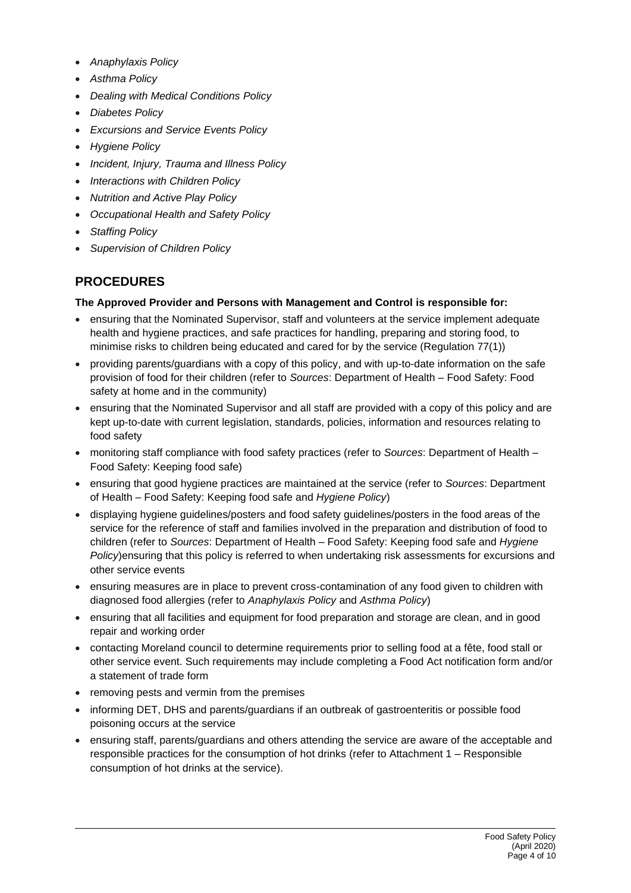- *Anaphylaxis Policy*
- *Asthma Policy*
- *Dealing with Medical Conditions Policy*
- *Diabetes Policy*
- *Excursions and Service Events Policy*
- *Hygiene Policy*
- *Incident, Injury, Trauma and Illness Policy*
- *Interactions with Children Policy*
- *Nutrition and Active Play Policy*
- *Occupational Health and Safety Policy*
- *Staffing Policy*
- *Supervision of Children Policy*

# **PROCEDURES**

## **The Approved Provider and Persons with Management and Control is responsible for:**

- ensuring that the Nominated Supervisor, staff and volunteers at the service implement adequate health and hygiene practices, and safe practices for handling, preparing and storing food, to minimise risks to children being educated and cared for by the service (Regulation 77(1))
- providing parents/guardians with a copy of this policy, and with up-to-date information on the safe provision of food for their children (refer to *Sources*: Department of Health – Food Safety: Food safety at home and in the community)
- ensuring that the Nominated Supervisor and all staff are provided with a copy of this policy and are kept up-to-date with current legislation, standards, policies, information and resources relating to food safety
- monitoring staff compliance with food safety practices (refer to *Sources*: Department of Health Food Safety: Keeping food safe)
- ensuring that good hygiene practices are maintained at the service (refer to *Sources*: Department of Health – Food Safety: Keeping food safe and *Hygiene Policy*)
- displaying hygiene guidelines/posters and food safety guidelines/posters in the food areas of the service for the reference of staff and families involved in the preparation and distribution of food to children (refer to *Sources*: Department of Health – Food Safety: Keeping food safe and *Hygiene Policy*)ensuring that this policy is referred to when undertaking risk assessments for excursions and other service events
- ensuring measures are in place to prevent cross-contamination of any food given to children with diagnosed food allergies (refer to *Anaphylaxis Policy* and *Asthma Policy*)
- ensuring that all facilities and equipment for food preparation and storage are clean, and in good repair and working order
- contacting Moreland council to determine requirements prior to selling food at a fête, food stall or other service event. Such requirements may include completing a Food Act notification form and/or a statement of trade form
- removing pests and vermin from the premises
- informing DET, DHS and parents/guardians if an outbreak of gastroenteritis or possible food poisoning occurs at the service
- ensuring staff, parents/guardians and others attending the service are aware of the acceptable and responsible practices for the consumption of hot drinks (refer to Attachment 1 – Responsible consumption of hot drinks at the service).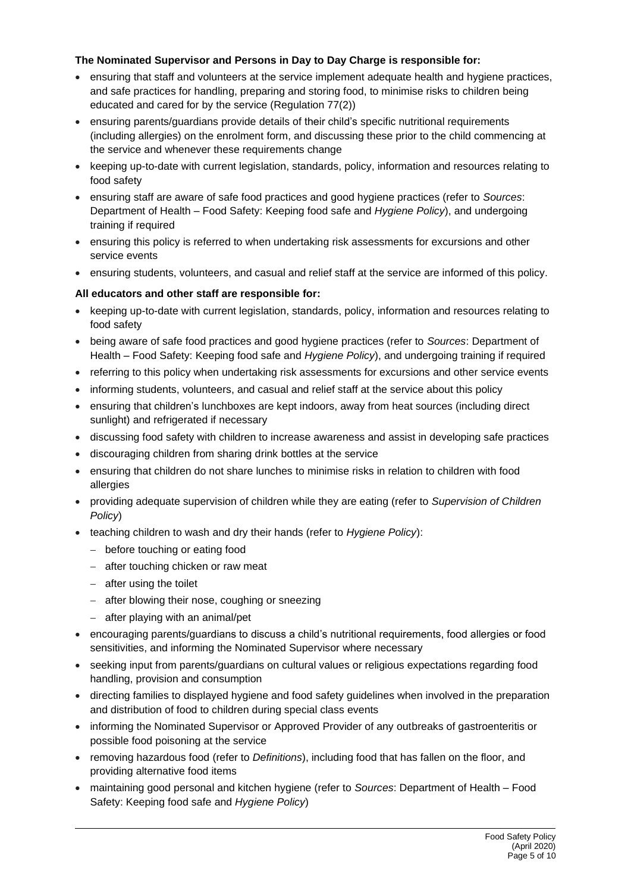## **The Nominated Supervisor and Persons in Day to Day Charge is responsible for:**

- ensuring that staff and volunteers at the service implement adequate health and hygiene practices, and safe practices for handling, preparing and storing food, to minimise risks to children being educated and cared for by the service (Regulation 77(2))
- ensuring parents/guardians provide details of their child's specific nutritional requirements (including allergies) on the enrolment form, and discussing these prior to the child commencing at the service and whenever these requirements change
- keeping up-to-date with current legislation, standards, policy, information and resources relating to food safety
- ensuring staff are aware of safe food practices and good hygiene practices (refer to *Sources*: Department of Health – Food Safety: Keeping food safe and *Hygiene Policy*), and undergoing training if required
- ensuring this policy is referred to when undertaking risk assessments for excursions and other service events
- ensuring students, volunteers, and casual and relief staff at the service are informed of this policy.

## **All educators and other staff are responsible for:**

- keeping up-to-date with current legislation, standards, policy, information and resources relating to food safety
- being aware of safe food practices and good hygiene practices (refer to *Sources*: Department of Health – Food Safety: Keeping food safe and *Hygiene Policy*), and undergoing training if required
- referring to this policy when undertaking risk assessments for excursions and other service events
- informing students, volunteers, and casual and relief staff at the service about this policy
- ensuring that children's lunchboxes are kept indoors, away from heat sources (including direct sunlight) and refrigerated if necessary
- discussing food safety with children to increase awareness and assist in developing safe practices
- discouraging children from sharing drink bottles at the service
- ensuring that children do not share lunches to minimise risks in relation to children with food allergies
- providing adequate supervision of children while they are eating (refer to *Supervision of Children Policy*)
- teaching children to wash and dry their hands (refer to *Hygiene Policy*):
	- − before touching or eating food
	- − after touching chicken or raw meat
	- − after using the toilet
	- − after blowing their nose, coughing or sneezing
	- − after playing with an animal/pet
- encouraging parents/guardians to discuss a child's nutritional requirements, food allergies or food sensitivities, and informing the Nominated Supervisor where necessary
- seeking input from parents/guardians on cultural values or religious expectations regarding food handling, provision and consumption
- directing families to displayed hygiene and food safety guidelines when involved in the preparation and distribution of food to children during special class events
- informing the Nominated Supervisor or Approved Provider of any outbreaks of gastroenteritis or possible food poisoning at the service
- removing hazardous food (refer to *Definitions*), including food that has fallen on the floor, and providing alternative food items
- maintaining good personal and kitchen hygiene (refer to *Sources*: Department of Health Food Safety: Keeping food safe and *Hygiene Policy*)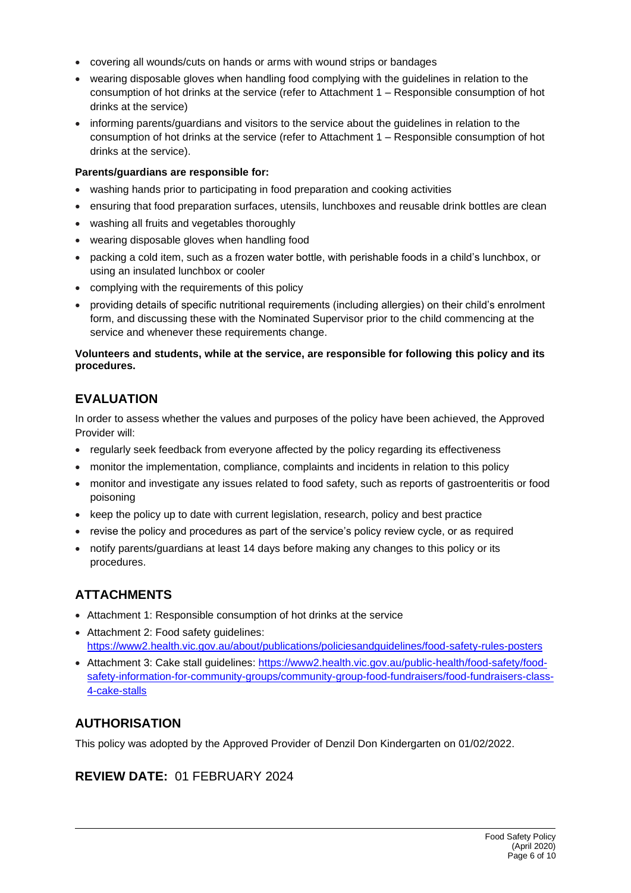- covering all wounds/cuts on hands or arms with wound strips or bandages
- wearing disposable gloves when handling food complying with the guidelines in relation to the consumption of hot drinks at the service (refer to Attachment 1 – Responsible consumption of hot drinks at the service)
- informing parents/guardians and visitors to the service about the guidelines in relation to the consumption of hot drinks at the service (refer to Attachment 1 – Responsible consumption of hot drinks at the service).

### **Parents/guardians are responsible for:**

- washing hands prior to participating in food preparation and cooking activities
- ensuring that food preparation surfaces, utensils, lunchboxes and reusable drink bottles are clean
- washing all fruits and vegetables thoroughly
- wearing disposable gloves when handling food
- packing a cold item, such as a frozen water bottle, with perishable foods in a child's lunchbox, or using an insulated lunchbox or cooler
- complying with the requirements of this policy
- providing details of specific nutritional requirements (including allergies) on their child's enrolment form, and discussing these with the Nominated Supervisor prior to the child commencing at the service and whenever these requirements change.

### **Volunteers and students, while at the service, are responsible for following this policy and its procedures.**

# **EVALUATION**

In order to assess whether the values and purposes of the policy have been achieved, the Approved Provider will:

- regularly seek feedback from everyone affected by the policy regarding its effectiveness
- monitor the implementation, compliance, complaints and incidents in relation to this policy
- monitor and investigate any issues related to food safety, such as reports of gastroenteritis or food poisoning
- keep the policy up to date with current legislation, research, policy and best practice
- revise the policy and procedures as part of the service's policy review cycle, or as required
- notify parents/guardians at least 14 days before making any changes to this policy or its procedures.

# **ATTACHMENTS**

- Attachment 1: Responsible consumption of hot drinks at the service
- Attachment 2: Food safety guidelines: <https://www2.health.vic.gov.au/about/publications/policiesandguidelines/food-safety-rules-posters>
- Attachment 3: Cake stall guidelines: [https://www2.health.vic.gov.au/public-health/food-safety/food](https://www2.health.vic.gov.au/public-health/food-safety/food-safety-information-for-community-groups/community-group-food-fundraisers/food-fundraisers-class-4-cake-stalls)[safety-information-for-community-groups/community-group-food-fundraisers/food-fundraisers-class-](https://www2.health.vic.gov.au/public-health/food-safety/food-safety-information-for-community-groups/community-group-food-fundraisers/food-fundraisers-class-4-cake-stalls)[4-cake-stalls](https://www2.health.vic.gov.au/public-health/food-safety/food-safety-information-for-community-groups/community-group-food-fundraisers/food-fundraisers-class-4-cake-stalls)

# **AUTHORISATION**

This policy was adopted by the Approved Provider of Denzil Don Kindergarten on 01/02/2022.

# **REVIEW DATE:** 01 FEBRUARY 2024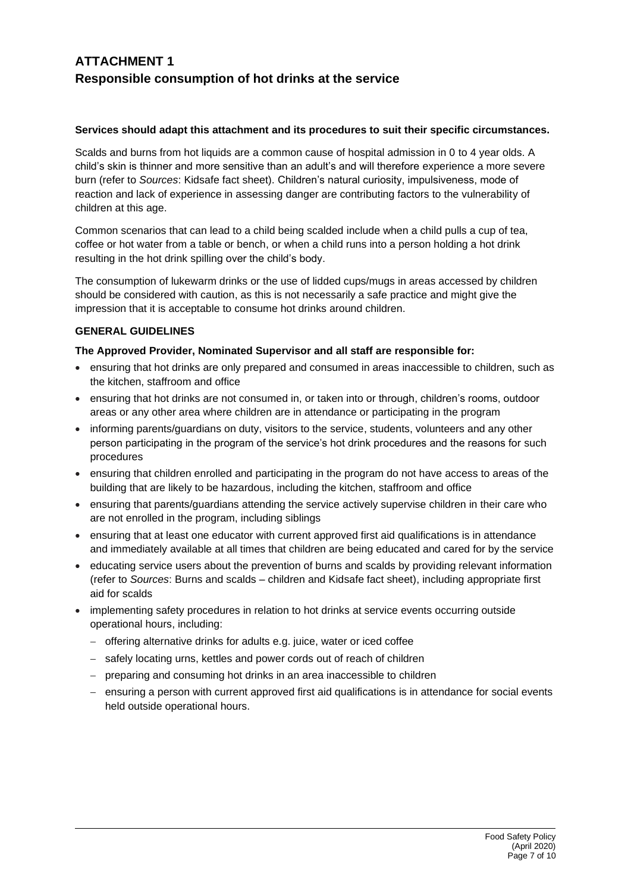# **ATTACHMENT 1 Responsible consumption of hot drinks at the service**

### **Services should adapt this attachment and its procedures to suit their specific circumstances.**

Scalds and burns from hot liquids are a common cause of hospital admission in 0 to 4 year olds. A child's skin is thinner and more sensitive than an adult's and will therefore experience a more severe burn (refer to *Sources*: Kidsafe fact sheet). Children's natural curiosity, impulsiveness, mode of reaction and lack of experience in assessing danger are contributing factors to the vulnerability of children at this age.

Common scenarios that can lead to a child being scalded include when a child pulls a cup of tea, coffee or hot water from a table or bench, or when a child runs into a person holding a hot drink resulting in the hot drink spilling over the child's body.

The consumption of lukewarm drinks or the use of lidded cups/mugs in areas accessed by children should be considered with caution, as this is not necessarily a safe practice and might give the impression that it is acceptable to consume hot drinks around children.

## **GENERAL GUIDELINES**

### **The Approved Provider, Nominated Supervisor and all staff are responsible for:**

- ensuring that hot drinks are only prepared and consumed in areas inaccessible to children, such as the kitchen, staffroom and office
- ensuring that hot drinks are not consumed in, or taken into or through, children's rooms, outdoor areas or any other area where children are in attendance or participating in the program
- informing parents/guardians on duty, visitors to the service, students, volunteers and any other person participating in the program of the service's hot drink procedures and the reasons for such procedures
- ensuring that children enrolled and participating in the program do not have access to areas of the building that are likely to be hazardous, including the kitchen, staffroom and office
- ensuring that parents/guardians attending the service actively supervise children in their care who are not enrolled in the program, including siblings
- ensuring that at least one educator with current approved first aid qualifications is in attendance and immediately available at all times that children are being educated and cared for by the service
- educating service users about the prevention of burns and scalds by providing relevant information (refer to *Sources*: Burns and scalds – children and Kidsafe fact sheet), including appropriate first aid for scalds
- implementing safety procedures in relation to hot drinks at service events occurring outside operational hours, including:
	- − offering alternative drinks for adults e.g. juice, water or iced coffee
	- − safely locating urns, kettles and power cords out of reach of children
	- − preparing and consuming hot drinks in an area inaccessible to children
	- − ensuring a person with current approved first aid qualifications is in attendance for social events held outside operational hours.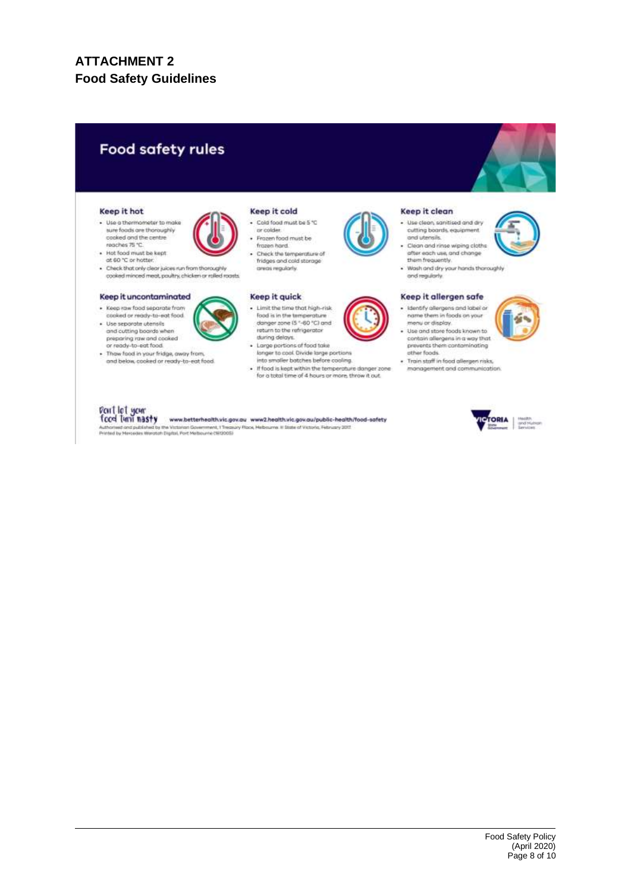# **ATTACHMENT 2 Food Safety Guidelines**

# **Food safety rules**

#### Keep it hot

· Use a thermometer to make sure foods are thoroughly cooked and the centre<br>reaches 75 °C.



cooked minced meat, poultry, chicken or rolled roasts.

#### Keep it uncontaminated

· Keep raw food separate from cooked or ready-to-eat food · Use separate utensits<br>and cutting boards where



· Thaw food in your fridge, away from and below, cooked or ready-to-eat food

#### Keep it cold

- · Cold food must be 5 °C pr colder.
- frozen hard. . Check the temperature of
- fridges and cold storage<br>areas regularly.

#### Keep it quick

- Fred is in the temperature<br>danger zone (\$ "-60 "C) and<br>return to the refrigerator tluring delays.
- Large portions of food take longer to cool Divide large portions<br>into smaller batches before cooling.
- . If food is kept within the temperature danger zone<br>for a total time of 4 hours or more, throw it out.

#### Keep it clean

- · Use clean, sanitised and dry cutting boards, equipment and utensils. Clean and rinse wiping cloths
- after each use, and change them frequently.
- · Wash and dry your hands thoroughly

#### Keep it allergen safe

- · Identify allergens and label or<br>name them in foods on your
	- contain allergens in a way that<br>prevents them contaminating other foods.
	- monagement and communication



# Don't let your<br>food turn nasty

www.betterhealth.vic.gov.au www2.health.vic.gov.au/public-health/food-safety Authorised and published by the Victorian Government, 1 Treasu<br>Printed by Mercedes Waronah Digital, Port Melbourne (1812005) ury Rigos, Helbourne. Il State of Victoria. February 2015























menu or display.<br>Use and store foods known to

and regularly

- · Train staff in food allergen risks,
- 

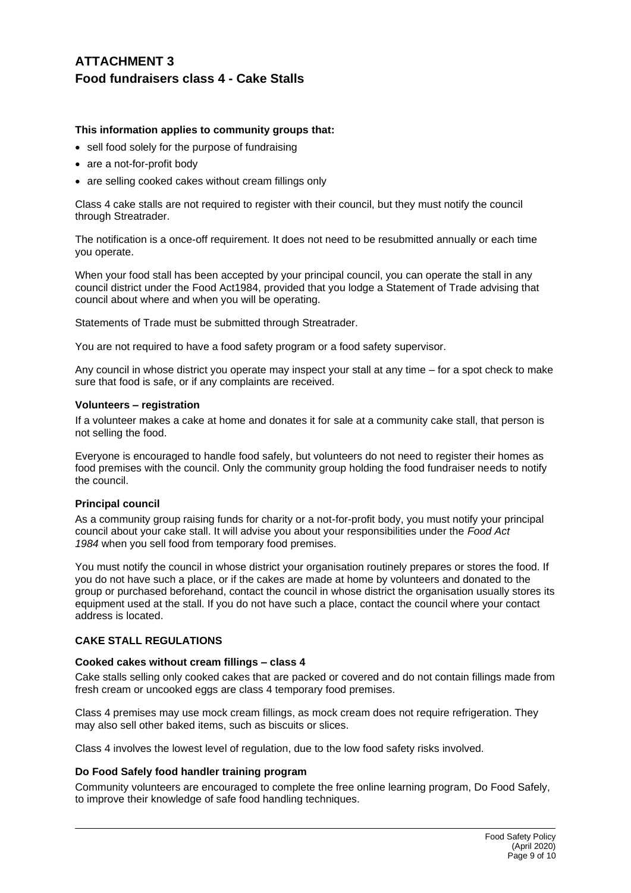# **ATTACHMENT 3 Food fundraisers class 4 - Cake Stalls**

### **This information applies to community groups that:**

- sell food solely for the purpose of fundraising
- are a not-for-profit body
- are selling cooked cakes without cream fillings only

Class 4 cake stalls are not required to register with their council, but they must notify the council through Streatrader.

The notification is a once-off requirement. It does not need to be resubmitted annually or each time you operate.

When your food stall has been accepted by your principal council, you can operate the stall in any council district under the Food Act1984, provided that you lodge a Statement of Trade advising that council about where and when you will be operating.

Statements of Trade must be submitted through Streatrader.

You are not required to have a food safety program or a food safety supervisor.

Any council in whose district you operate may inspect your stall at any time – for a spot check to make sure that food is safe, or if any complaints are received.

#### **Volunteers – registration**

If a volunteer makes a cake at home and donates it for sale at a community cake stall, that person is not selling the food.

Everyone is encouraged to handle food safely, but volunteers do not need to register their homes as food premises with the council. Only the community group holding the food fundraiser needs to notify the council.

#### **Principal council**

As a community group raising funds for charity or a not-for-profit body, you must notify your principal council about your cake stall. It will advise you about your responsibilities under the *Food Act 1984* when you sell food from temporary food premises.

You must notify the council in whose district your organisation routinely prepares or stores the food. If you do not have such a place, or if the cakes are made at home by volunteers and donated to the group or purchased beforehand, contact the council in whose district the organisation usually stores its equipment used at the stall. If you do not have such a place, contact the council where your contact address is located.

#### **CAKE STALL REGULATIONS**

#### **Cooked cakes without cream fillings – class 4**

Cake stalls selling only cooked cakes that are packed or covered and do not contain fillings made from fresh cream or uncooked eggs are class 4 temporary food premises.

Class 4 premises may use mock cream fillings, as mock cream does not require refrigeration. They may also sell other baked items, such as biscuits or slices.

Class 4 involves the lowest level of regulation, due to the low food safety risks involved.

#### **Do Food Safely food handler training program**

Community volunteers are encouraged to complete the free online learning program, Do Food Safely, to improve their knowledge of safe food handling techniques.